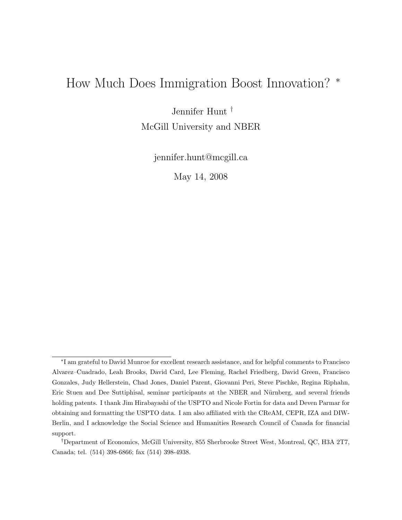# How Much Does Immigration Boost Innovation? <sup>∗</sup>

Jennifer Hunt †

McGill University and NBER

jennifer.hunt@mcgill.ca

May 14, 2008

<sup>∗</sup> I am grateful to David Munroe for excellent research assistance, and for helpful comments to Francisco Alvarez–Cuadrado, Leah Brooks, David Card, Lee Fleming, Rachel Friedberg, David Green, Francisco Gonzales, Judy Hellerstein, Chad Jones, Daniel Parent, Giovanni Peri, Steve Pischke, Regina Riphahn, Eric Stuen and Dee Suttiphisal, seminar participants at the NBER and Nürnberg, and several friends holding patents. I thank Jim Hirabayashi of the USPTO and Nicole Fortin for data and Deven Parmar for obtaining and formatting the USPTO data. I am also affiliated with the CReAM, CEPR, IZA and DIW-Berlin, and I acknowledge the Social Science and Humanities Research Council of Canada for financial support.

<sup>†</sup>Department of Economics, McGill University, 855 Sherbrooke Street West, Montreal, QC, H3A 2T7, Canada; tel. (514) 398-6866; fax (514) 398-4938.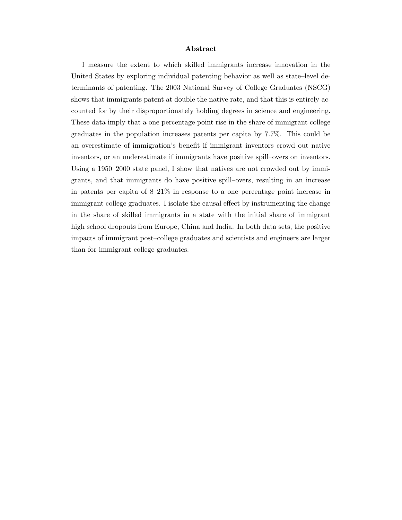#### Abstract

I measure the extent to which skilled immigrants increase innovation in the United States by exploring individual patenting behavior as well as state–level determinants of patenting. The 2003 National Survey of College Graduates (NSCG) shows that immigrants patent at double the native rate, and that this is entirely accounted for by their disproportionately holding degrees in science and engineering. These data imply that a one percentage point rise in the share of immigrant college graduates in the population increases patents per capita by 7.7%. This could be an overestimate of immigration's benefit if immigrant inventors crowd out native inventors, or an underestimate if immigrants have positive spill–overs on inventors. Using a 1950–2000 state panel, I show that natives are not crowded out by immigrants, and that immigrants do have positive spill–overs, resulting in an increase in patents per capita of 8–21% in response to a one percentage point increase in immigrant college graduates. I isolate the causal effect by instrumenting the change in the share of skilled immigrants in a state with the initial share of immigrant high school dropouts from Europe, China and India. In both data sets, the positive impacts of immigrant post–college graduates and scientists and engineers are larger than for immigrant college graduates.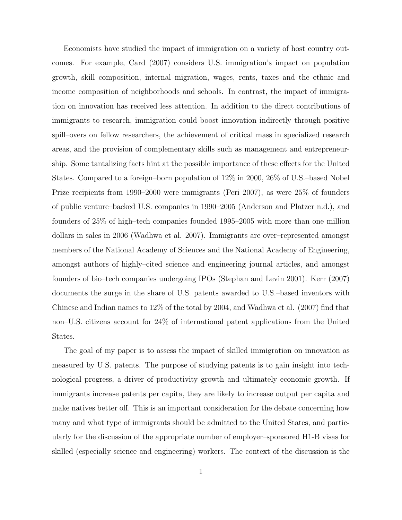Economists have studied the impact of immigration on a variety of host country outcomes. For example, Card (2007) considers U.S. immigration's impact on population growth, skill composition, internal migration, wages, rents, taxes and the ethnic and income composition of neighborhoods and schools. In contrast, the impact of immigration on innovation has received less attention. In addition to the direct contributions of immigrants to research, immigration could boost innovation indirectly through positive spill–overs on fellow researchers, the achievement of critical mass in specialized research areas, and the provision of complementary skills such as management and entrepreneurship. Some tantalizing facts hint at the possible importance of these effects for the United States. Compared to a foreign–born population of 12% in 2000, 26% of U.S.–based Nobel Prize recipients from 1990–2000 were immigrants (Peri 2007), as were 25% of founders of public venture–backed U.S. companies in 1990–2005 (Anderson and Platzer n.d.), and founders of 25% of high–tech companies founded 1995–2005 with more than one million dollars in sales in 2006 (Wadhwa et al. 2007). Immigrants are over–represented amongst members of the National Academy of Sciences and the National Academy of Engineering, amongst authors of highly–cited science and engineering journal articles, and amongst founders of bio–tech companies undergoing IPOs (Stephan and Levin 2001). Kerr (2007) documents the surge in the share of U.S. patents awarded to U.S.–based inventors with Chinese and Indian names to 12% of the total by 2004, and Wadhwa et al. (2007) find that non–U.S. citizens account for 24% of international patent applications from the United States.

The goal of my paper is to assess the impact of skilled immigration on innovation as measured by U.S. patents. The purpose of studying patents is to gain insight into technological progress, a driver of productivity growth and ultimately economic growth. If immigrants increase patents per capita, they are likely to increase output per capita and make natives better off. This is an important consideration for the debate concerning how many and what type of immigrants should be admitted to the United States, and particularly for the discussion of the appropriate number of employer–sponsored H1-B visas for skilled (especially science and engineering) workers. The context of the discussion is the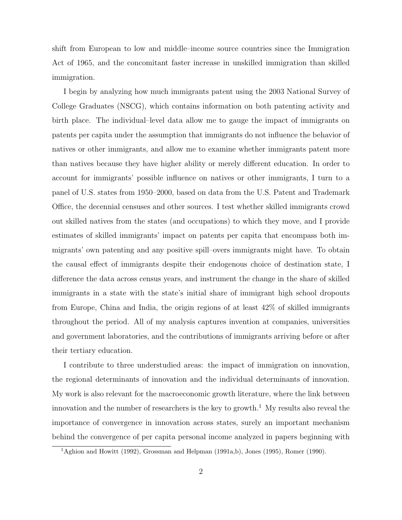shift from European to low and middle–income source countries since the Immigration Act of 1965, and the concomitant faster increase in unskilled immigration than skilled immigration.

I begin by analyzing how much immigrants patent using the 2003 National Survey of College Graduates (NSCG), which contains information on both patenting activity and birth place. The individual–level data allow me to gauge the impact of immigrants on patents per capita under the assumption that immigrants do not influence the behavior of natives or other immigrants, and allow me to examine whether immigrants patent more than natives because they have higher ability or merely different education. In order to account for immigrants' possible influence on natives or other immigrants, I turn to a panel of U.S. states from 1950–2000, based on data from the U.S. Patent and Trademark Office, the decennial censuses and other sources. I test whether skilled immigrants crowd out skilled natives from the states (and occupations) to which they move, and I provide estimates of skilled immigrants' impact on patents per capita that encompass both immigrants' own patenting and any positive spill–overs immigrants might have. To obtain the causal effect of immigrants despite their endogenous choice of destination state, I difference the data across census years, and instrument the change in the share of skilled immigrants in a state with the state's initial share of immigrant high school dropouts from Europe, China and India, the origin regions of at least 42% of skilled immigrants throughout the period. All of my analysis captures invention at companies, universities and government laboratories, and the contributions of immigrants arriving before or after their tertiary education.

I contribute to three understudied areas: the impact of immigration on innovation, the regional determinants of innovation and the individual determinants of innovation. My work is also relevant for the macroeconomic growth literature, where the link between innovation and the number of researchers is the key to growth.<sup>1</sup> My results also reveal the importance of convergence in innovation across states, surely an important mechanism behind the convergence of per capita personal income analyzed in papers beginning with

<sup>1</sup>Aghion and Howitt (1992), Grossman and Helpman (1991a,b), Jones (1995), Romer (1990).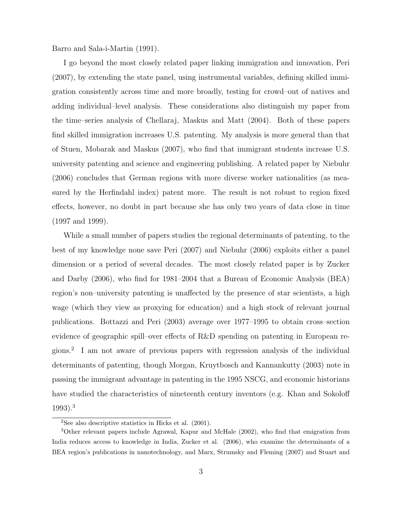Barro and Sala-i-Martin (1991).

I go beyond the most closely related paper linking immigration and innovation, Peri (2007), by extending the state panel, using instrumental variables, defining skilled immigration consistently across time and more broadly, testing for crowd–out of natives and adding individual–level analysis. These considerations also distinguish my paper from the time–series analysis of Chellaraj, Maskus and Matt (2004). Both of these papers find skilled immigration increases U.S. patenting. My analysis is more general than that of Stuen, Mobarak and Maskus (2007), who find that immigrant students increase U.S. university patenting and science and engineering publishing. A related paper by Niebuhr (2006) concludes that German regions with more diverse worker nationalities (as measured by the Herfindahl index) patent more. The result is not robust to region fixed effects, however, no doubt in part because she has only two years of data close in time (1997 and 1999).

While a small number of papers studies the regional determinants of patenting, to the best of my knowledge none save Peri (2007) and Niebuhr (2006) exploits either a panel dimension or a period of several decades. The most closely related paper is by Zucker and Darby (2006), who find for 1981–2004 that a Bureau of Economic Analysis (BEA) region's non–university patenting is unaffected by the presence of star scientists, a high wage (which they view as proxying for education) and a high stock of relevant journal publications. Bottazzi and Peri (2003) average over 1977–1995 to obtain cross–section evidence of geographic spill–over effects of R&D spending on patenting in European regions.<sup>2</sup> I am not aware of previous papers with regression analysis of the individual determinants of patenting, though Morgan, Kruytbosch and Kannankutty (2003) note in passing the immigrant advantage in patenting in the 1995 NSCG, and economic historians have studied the characteristics of nineteenth century inventors (e.g. Khan and Sokoloff 1993).<sup>3</sup>

 $2$ See also descriptive statistics in Hicks et al.  $(2001)$ .

<sup>3</sup>Other relevant papers include Agrawal, Kapur and McHale (2002), who find that emigration from India reduces access to knowledge in India, Zucker et al. (2006), who examine the determinants of a BEA region's publications in nanotechnology, and Marx, Strumsky and Fleming (2007) and Stuart and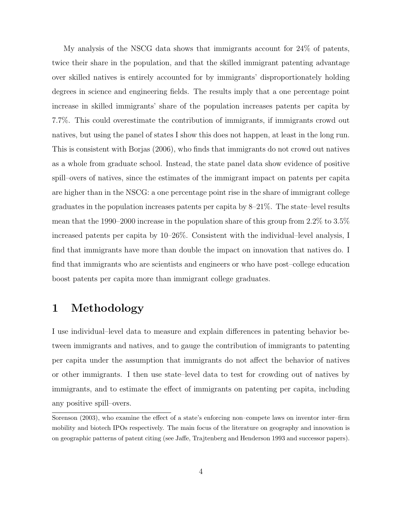My analysis of the NSCG data shows that immigrants account for 24% of patents, twice their share in the population, and that the skilled immigrant patenting advantage over skilled natives is entirely accounted for by immigrants' disproportionately holding degrees in science and engineering fields. The results imply that a one percentage point increase in skilled immigrants' share of the population increases patents per capita by 7.7%. This could overestimate the contribution of immigrants, if immigrants crowd out natives, but using the panel of states I show this does not happen, at least in the long run. This is consistent with Borjas (2006), who finds that immigrants do not crowd out natives as a whole from graduate school. Instead, the state panel data show evidence of positive spill–overs of natives, since the estimates of the immigrant impact on patents per capita are higher than in the NSCG: a one percentage point rise in the share of immigrant college graduates in the population increases patents per capita by 8–21%. The state–level results mean that the 1990–2000 increase in the population share of this group from 2.2% to 3.5% increased patents per capita by 10–26%. Consistent with the individual–level analysis, I find that immigrants have more than double the impact on innovation that natives do. I find that immigrants who are scientists and engineers or who have post–college education boost patents per capita more than immigrant college graduates.

## 1 Methodology

I use individual–level data to measure and explain differences in patenting behavior between immigrants and natives, and to gauge the contribution of immigrants to patenting per capita under the assumption that immigrants do not affect the behavior of natives or other immigrants. I then use state–level data to test for crowding out of natives by immigrants, and to estimate the effect of immigrants on patenting per capita, including any positive spill–overs.

Sorenson (2003), who examine the effect of a state's enforcing non–compete laws on inventor inter–firm mobility and biotech IPOs respectively. The main focus of the literature on geography and innovation is on geographic patterns of patent citing (see Jaffe, Trajtenberg and Henderson 1993 and successor papers).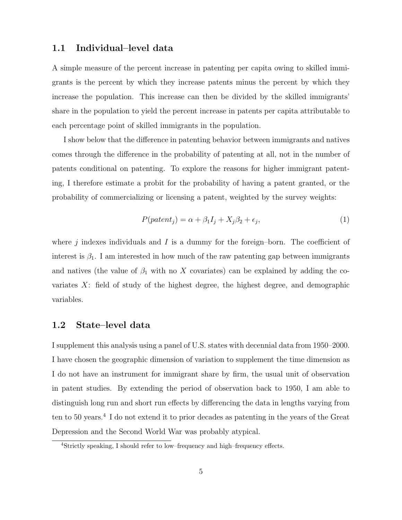#### 1.1 Individual–level data

A simple measure of the percent increase in patenting per capita owing to skilled immigrants is the percent by which they increase patents minus the percent by which they increase the population. This increase can then be divided by the skilled immigrants' share in the population to yield the percent increase in patents per capita attributable to each percentage point of skilled immigrants in the population.

I show below that the difference in patenting behavior between immigrants and natives comes through the difference in the probability of patenting at all, not in the number of patents conditional on patenting. To explore the reasons for higher immigrant patenting, I therefore estimate a probit for the probability of having a patent granted, or the probability of commercializing or licensing a patent, weighted by the survey weights:

$$
P(path_j) = \alpha + \beta_1 I_j + X_j \beta_2 + \epsilon_j,
$$
\n<sup>(1)</sup>

where  $j$  indexes individuals and  $I$  is a dummy for the foreign–born. The coefficient of interest is  $\beta_1$ . I am interested in how much of the raw patenting gap between immigrants and natives (the value of  $\beta_1$  with no X covariates) can be explained by adding the covariates X: field of study of the highest degree, the highest degree, and demographic variables.

#### 1.2 State–level data

I supplement this analysis using a panel of U.S. states with decennial data from 1950–2000. I have chosen the geographic dimension of variation to supplement the time dimension as I do not have an instrument for immigrant share by firm, the usual unit of observation in patent studies. By extending the period of observation back to 1950, I am able to distinguish long run and short run effects by differencing the data in lengths varying from ten to 50 years.<sup>4</sup> I do not extend it to prior decades as patenting in the years of the Great Depression and the Second World War was probably atypical.

<sup>4</sup>Strictly speaking, I should refer to low–frequency and high–frequency effects.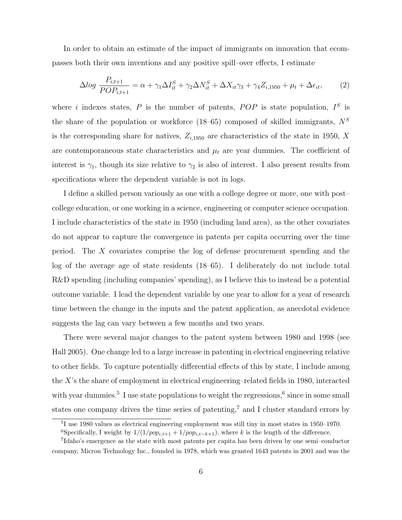In order to obtain an estimate of the impact of immigrants on innovation that ecompasses both their own inventions and any positive spill–over effects, I estimate

$$
\Delta log \frac{P_{i,t+1}}{POP_{i,t+1}} = \alpha + \gamma_1 \Delta I_{it}^S + \gamma_2 \Delta N_{it}^S + \Delta X_{it} \gamma_3 + \gamma_4 Z_{i,1950} + \mu_t + \Delta \epsilon_{it}, \tag{2}
$$

where i indexes states, P is the number of patents,  $POP$  is state population,  $I<sup>S</sup>$  is the share of the population or workforce (18–65) composed of skilled immigrants,  $N<sup>S</sup>$ is the corresponding share for natives,  $Z_{i,1950}$  are characteristics of the state in 1950, X are contemporaneous state characteristics and  $\mu_t$  are year dummies. The coefficient of interest is  $\gamma_1$ , though its size relative to  $\gamma_2$  is also of interest. I also present results from specifications where the dependent variable is not in logs.

I define a skilled person variously as one with a college degree or more, one with post– college education, or one working in a science, engineering or computer science occupation. I include characteristics of the state in 1950 (including land area), as the other covariates do not appear to capture the convergence in patents per capita occurring over the time period. The X covariates comprise the log of defense procurement spending and the log of the average age of state residents (18–65). I deliberately do not include total R&D spending (including companies' spending), as I believe this to instead be a potential outcome variable. I lead the dependent variable by one year to allow for a year of research time between the change in the inputs and the patent application, as anecdotal evidence suggests the lag can vary between a few months and two years.

There were several major changes to the patent system between 1980 and 1998 (see Hall 2005). One change led to a large increase in patenting in electrical engineering relative to other fields. To capture potentially differential effects of this by state, I include among the  $X$ 's the share of employment in electrical engineering–related fields in 1980, interacted with year dummies.<sup>5</sup> I use state populations to weight the regressions,<sup>6</sup> since in some small states one company drives the time series of patenting,<sup>7</sup> and I cluster standard errors by

<sup>5</sup> I use 1980 values as electrical engineering employment was still tiny in most states in 1950–1970.

<sup>&</sup>lt;sup>6</sup>Specifically, I weight by  $1/(1/pop_{i,t+1} + 1/pop_{i,t-k+1}),$  where k is the length of the difference.

<sup>7</sup> Idaho's emergence as the state with most patents per capita has been driven by one semi–conductor company, Micron Technology Inc., founded in 1978, which was granted 1643 patents in 2001 and was the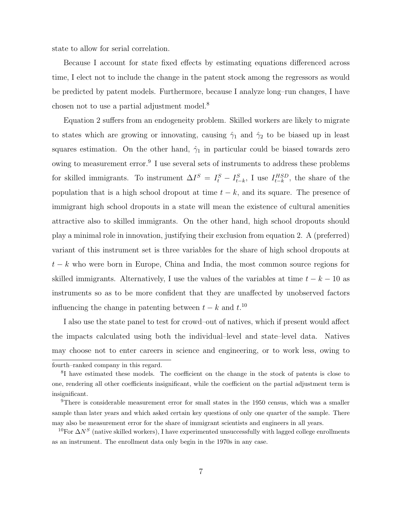state to allow for serial correlation.

Because I account for state fixed effects by estimating equations differenced across time, I elect not to include the change in the patent stock among the regressors as would be predicted by patent models. Furthermore, because I analyze long–run changes, I have chosen not to use a partial adjustment model.<sup>8</sup>

Equation 2 suffers from an endogeneity problem. Skilled workers are likely to migrate to states which are growing or innovating, causing  $\hat{\gamma}_1$  and  $\hat{\gamma}_2$  to be biased up in least squares estimation. On the other hand,  $\hat{\gamma}_1$  in particular could be biased towards zero owing to measurement error.<sup>9</sup> I use several sets of instruments to address these problems for skilled immigrants. To instrument  $\Delta I^S = I_t^S - I_{t-k}^S$ , I use  $I_{t-k}^{HSD}$ , the share of the population that is a high school dropout at time  $t - k$ , and its square. The presence of immigrant high school dropouts in a state will mean the existence of cultural amenities attractive also to skilled immigrants. On the other hand, high school dropouts should play a minimal role in innovation, justifying their exclusion from equation 2. A (preferred) variant of this instrument set is three variables for the share of high school dropouts at  $t - k$  who were born in Europe, China and India, the most common source regions for skilled immigrants. Alternatively, I use the values of the variables at time  $t - k - 10$  as instruments so as to be more confident that they are unaffected by unobserved factors influencing the change in patenting between  $t - k$  and  $t$ .<sup>10</sup>

I also use the state panel to test for crowd–out of natives, which if present would affect the impacts calculated using both the individual–level and state–level data. Natives may choose not to enter careers in science and engineering, or to work less, owing to

fourth–ranked company in this regard.

<sup>&</sup>lt;sup>8</sup>I have estimated these models. The coefficient on the change in the stock of patents is close to one, rendering all other coefficients insignificant, while the coefficient on the partial adjustment term is insignificant.

<sup>&</sup>lt;sup>9</sup>There is considerable measurement error for small states in the 1950 census, which was a smaller sample than later years and which asked certain key questions of only one quarter of the sample. There may also be measurement error for the share of immigrant scientists and engineers in all years.

<sup>&</sup>lt;sup>10</sup>For  $\Delta N^S$  (native skilled workers), I have experimented unsuccessfully with lagged college enrollments as an instrument. The enrollment data only begin in the 1970s in any case.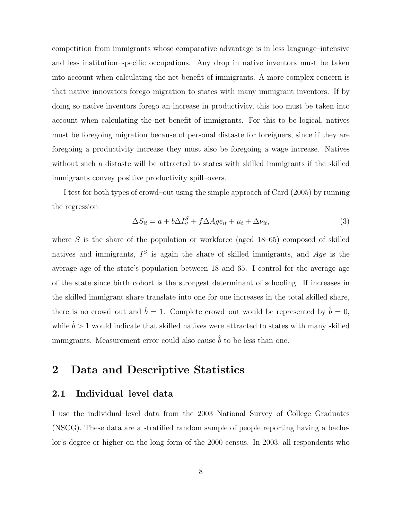competition from immigrants whose comparative advantage is in less language–intensive and less institution–specific occupations. Any drop in native inventors must be taken into account when calculating the net benefit of immigrants. A more complex concern is that native innovators forego migration to states with many immigrant inventors. If by doing so native inventors forego an increase in productivity, this too must be taken into account when calculating the net benefit of immigrants. For this to be logical, natives must be foregoing migration because of personal distaste for foreigners, since if they are foregoing a productivity increase they must also be foregoing a wage increase. Natives without such a distaste will be attracted to states with skilled immigrants if the skilled immigrants convey positive productivity spill–overs.

I test for both types of crowd–out using the simple approach of Card (2005) by running the regression

$$
\Delta S_{it} = a + b\Delta I_{it}^{S} + f\Delta Age_{it} + \mu_t + \Delta\nu_{it}, \tag{3}
$$

where  $S$  is the share of the population or workforce (aged  $18-65$ ) composed of skilled natives and immigrants,  $I^S$  is again the share of skilled immigrants, and  $Age$  is the average age of the state's population between 18 and 65. I control for the average age of the state since birth cohort is the strongest determinant of schooling. If increases in the skilled immigrant share translate into one for one increases in the total skilled share, there is no crowd–out and  $\hat{b} = 1$ . Complete crowd–out would be represented by  $\hat{b} = 0$ , while  $\hat{b} > 1$  would indicate that skilled natives were attracted to states with many skilled immigrants. Measurement error could also cause  $\hat{b}$  to be less than one.

## 2 Data and Descriptive Statistics

#### 2.1 Individual–level data

I use the individual–level data from the 2003 National Survey of College Graduates (NSCG). These data are a stratified random sample of people reporting having a bachelor's degree or higher on the long form of the 2000 census. In 2003, all respondents who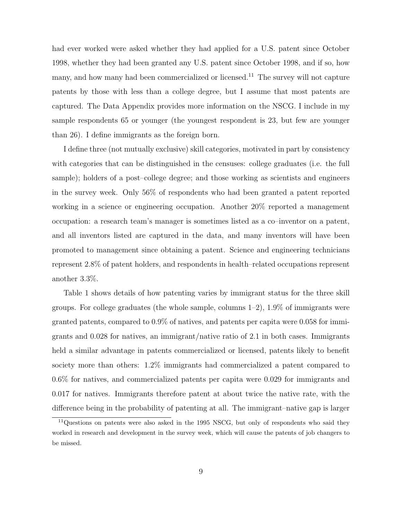had ever worked were asked whether they had applied for a U.S. patent since October 1998, whether they had been granted any U.S. patent since October 1998, and if so, how many, and how many had been commercialized or licensed.<sup>11</sup> The survey will not capture patents by those with less than a college degree, but I assume that most patents are captured. The Data Appendix provides more information on the NSCG. I include in my sample respondents 65 or younger (the youngest respondent is 23, but few are younger than 26). I define immigrants as the foreign born.

I define three (not mutually exclusive) skill categories, motivated in part by consistency with categories that can be distinguished in the censuses: college graduates (i.e. the full sample); holders of a post–college degree; and those working as scientists and engineers in the survey week. Only 56% of respondents who had been granted a patent reported working in a science or engineering occupation. Another 20% reported a management occupation: a research team's manager is sometimes listed as a co–inventor on a patent, and all inventors listed are captured in the data, and many inventors will have been promoted to management since obtaining a patent. Science and engineering technicians represent 2.8% of patent holders, and respondents in health–related occupations represent another 3.3%.

Table 1 shows details of how patenting varies by immigrant status for the three skill groups. For college graduates (the whole sample, columns  $1-2$ ),  $1.9\%$  of immigrants were granted patents, compared to 0.9% of natives, and patents per capita were 0.058 for immigrants and 0.028 for natives, an immigrant/native ratio of 2.1 in both cases. Immigrants held a similar advantage in patents commercialized or licensed, patents likely to benefit society more than others: 1.2% immigrants had commercialized a patent compared to 0.6% for natives, and commercialized patents per capita were 0.029 for immigrants and 0.017 for natives. Immigrants therefore patent at about twice the native rate, with the difference being in the probability of patenting at all. The immigrant–native gap is larger

<sup>&</sup>lt;sup>11</sup>Questions on patents were also asked in the 1995 NSCG, but only of respondents who said they worked in research and development in the survey week, which will cause the patents of job changers to be missed.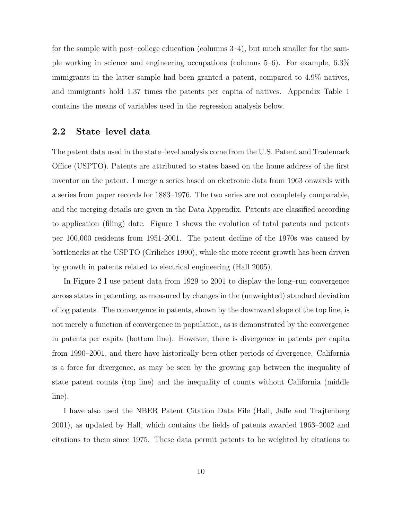for the sample with post–college education (columns 3–4), but much smaller for the sample working in science and engineering occupations (columns 5–6). For example, 6.3% immigrants in the latter sample had been granted a patent, compared to 4.9% natives, and immigrants hold 1.37 times the patents per capita of natives. Appendix Table 1 contains the means of variables used in the regression analysis below.

#### 2.2 State–level data

The patent data used in the state–level analysis come from the U.S. Patent and Trademark Office (USPTO). Patents are attributed to states based on the home address of the first inventor on the patent. I merge a series based on electronic data from 1963 onwards with a series from paper records for 1883–1976. The two series are not completely comparable, and the merging details are given in the Data Appendix. Patents are classified according to application (filing) date. Figure 1 shows the evolution of total patents and patents per 100,000 residents from 1951-2001. The patent decline of the 1970s was caused by bottlenecks at the USPTO (Griliches 1990), while the more recent growth has been driven by growth in patents related to electrical engineering (Hall 2005).

In Figure 2 I use patent data from 1929 to 2001 to display the long–run convergence across states in patenting, as measured by changes in the (unweighted) standard deviation of log patents. The convergence in patents, shown by the downward slope of the top line, is not merely a function of convergence in population, as is demonstrated by the convergence in patents per capita (bottom line). However, there is divergence in patents per capita from 1990–2001, and there have historically been other periods of divergence. California is a force for divergence, as may be seen by the growing gap between the inequality of state patent counts (top line) and the inequality of counts without California (middle line).

I have also used the NBER Patent Citation Data File (Hall, Jaffe and Trajtenberg 2001), as updated by Hall, which contains the fields of patents awarded 1963–2002 and citations to them since 1975. These data permit patents to be weighted by citations to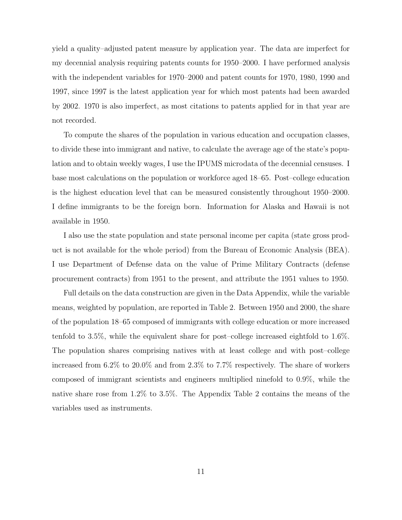yield a quality–adjusted patent measure by application year. The data are imperfect for my decennial analysis requiring patents counts for 1950–2000. I have performed analysis with the independent variables for 1970–2000 and patent counts for 1970, 1980, 1990 and 1997, since 1997 is the latest application year for which most patents had been awarded by 2002. 1970 is also imperfect, as most citations to patents applied for in that year are not recorded.

To compute the shares of the population in various education and occupation classes, to divide these into immigrant and native, to calculate the average age of the state's population and to obtain weekly wages, I use the IPUMS microdata of the decennial censuses. I base most calculations on the population or workforce aged 18–65. Post–college education is the highest education level that can be measured consistently throughout 1950–2000. I define immigrants to be the foreign born. Information for Alaska and Hawaii is not available in 1950.

I also use the state population and state personal income per capita (state gross product is not available for the whole period) from the Bureau of Economic Analysis (BEA). I use Department of Defense data on the value of Prime Military Contracts (defense procurement contracts) from 1951 to the present, and attribute the 1951 values to 1950.

Full details on the data construction are given in the Data Appendix, while the variable means, weighted by population, are reported in Table 2. Between 1950 and 2000, the share of the population 18–65 composed of immigrants with college education or more increased tenfold to 3.5%, while the equivalent share for post–college increased eightfold to 1.6%. The population shares comprising natives with at least college and with post–college increased from 6.2% to 20.0% and from 2.3% to 7.7% respectively. The share of workers composed of immigrant scientists and engineers multiplied ninefold to 0.9%, while the native share rose from 1.2% to 3.5%. The Appendix Table 2 contains the means of the variables used as instruments.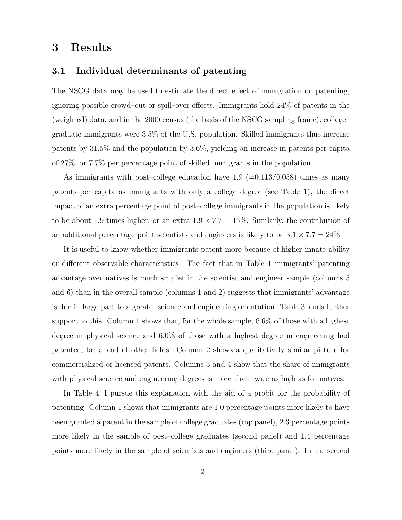### 3 Results

#### 3.1 Individual determinants of patenting

The NSCG data may be used to estimate the direct effect of immigration on patenting, ignoring possible crowd–out or spill–over effects. Immigrants hold 24% of patents in the (weighted) data, and in the 2000 census (the basis of the NSCG sampling frame), college– graduate immigrants were 3.5% of the U.S. population. Skilled immigrants thus increase patents by 31.5% and the population by 3.6%, yielding an increase in patents per capita of 27%, or 7.7% per percentage point of skilled immigrants in the population.

As immigrants with post–college education have  $1.9$  (=0.113/0.058) times as many patents per capita as immigrants with only a college degree (see Table 1), the direct impact of an extra percentage point of post–college immigrants in the population is likely to be about 1.9 times higher, or an extra  $1.9 \times 7.7 = 15\%$ . Similarly, the contribution of an additional percentage point scientists and engineers is likely to be  $3.1 \times 7.7 = 24\%$ .

It is useful to know whether immigrants patent more because of higher innate ability or different observable characteristics. The fact that in Table 1 immigrants' patenting advantage over natives is much smaller in the scientist and engineer sample (columns 5 and 6) than in the overall sample (columns 1 and 2) suggests that immigrants' advantage is due in large part to a greater science and engineering orientation. Table 3 lends further support to this. Column 1 shows that, for the whole sample, 6.6% of those with a highest degree in physical science and 6.0% of those with a highest degree in engineering had patented, far ahead of other fields. Column 2 shows a qualitatively similar picture for commercialized or licensed patents. Columns 3 and 4 show that the share of immigrants with physical science and engineering degrees is more than twice as high as for natives.

In Table 4, I pursue this explanation with the aid of a probit for the probability of patenting. Column 1 shows that immigrants are 1.0 percentage points more likely to have been granted a patent in the sample of college graduates (top panel), 2.3 percentage points more likely in the sample of post–college graduates (second panel) and 1.4 percentage points more likely in the sample of scientists and engineers (third panel). In the second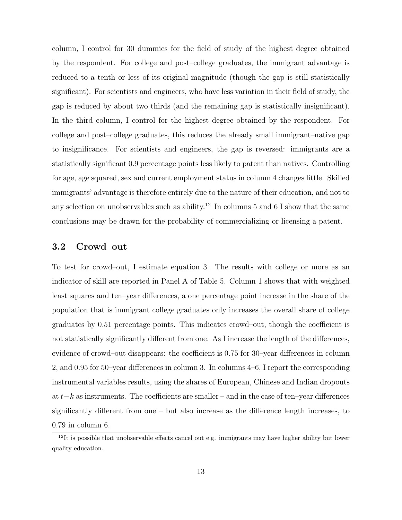column, I control for 30 dummies for the field of study of the highest degree obtained by the respondent. For college and post–college graduates, the immigrant advantage is reduced to a tenth or less of its original magnitude (though the gap is still statistically significant). For scientists and engineers, who have less variation in their field of study, the gap is reduced by about two thirds (and the remaining gap is statistically insignificant). In the third column, I control for the highest degree obtained by the respondent. For college and post–college graduates, this reduces the already small immigrant–native gap to insignificance. For scientists and engineers, the gap is reversed: immigrants are a statistically significant 0.9 percentage points less likely to patent than natives. Controlling for age, age squared, sex and current employment status in column 4 changes little. Skilled immigrants' advantage is therefore entirely due to the nature of their education, and not to any selection on unobservables such as ability.<sup>12</sup> In columns 5 and 6 I show that the same conclusions may be drawn for the probability of commercializing or licensing a patent.

#### 3.2 Crowd–out

To test for crowd–out, I estimate equation 3. The results with college or more as an indicator of skill are reported in Panel A of Table 5. Column 1 shows that with weighted least squares and ten–year differences, a one percentage point increase in the share of the population that is immigrant college graduates only increases the overall share of college graduates by 0.51 percentage points. This indicates crowd–out, though the coefficient is not statistically significantly different from one. As I increase the length of the differences, evidence of crowd–out disappears: the coefficient is 0.75 for 30–year differences in column 2, and 0.95 for 50–year differences in column 3. In columns 4–6, I report the corresponding instrumental variables results, using the shares of European, Chinese and Indian dropouts at t−k as instruments. The coefficients are smaller – and in the case of ten–year differences significantly different from one – but also increase as the difference length increases, to 0.79 in column 6.

 $12$ It is possible that unobservable effects cancel out e.g. immigrants may have higher ability but lower quality education.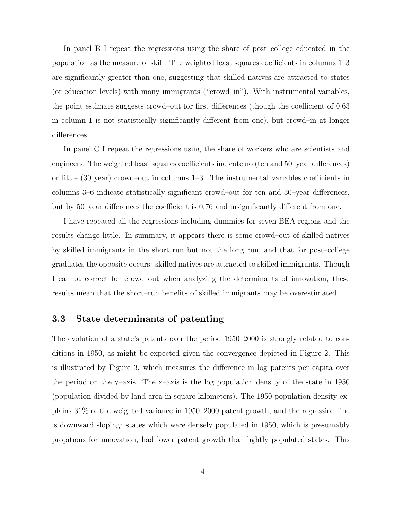In panel B I repeat the regressions using the share of post–college educated in the population as the measure of skill. The weighted least squares coefficients in columns 1–3 are significantly greater than one, suggesting that skilled natives are attracted to states (or education levels) with many immigrants ("crowd–in"). With instrumental variables, the point estimate suggests crowd–out for first differences (though the coefficient of 0.63 in column 1 is not statistically significantly different from one), but crowd–in at longer differences.

In panel C I repeat the regressions using the share of workers who are scientists and engineers. The weighted least squares coefficients indicate no (ten and 50–year differences) or little (30 year) crowd–out in columns 1–3. The instrumental variables coefficients in columns 3–6 indicate statistically significant crowd–out for ten and 30–year differences, but by 50–year differences the coefficient is 0.76 and insignificantly different from one.

I have repeated all the regressions including dummies for seven BEA regions and the results change little. In summary, it appears there is some crowd–out of skilled natives by skilled immigrants in the short run but not the long run, and that for post–college graduates the opposite occurs: skilled natives are attracted to skilled immigrants. Though I cannot correct for crowd–out when analyzing the determinants of innovation, these results mean that the short–run benefits of skilled immigrants may be overestimated.

### 3.3 State determinants of patenting

The evolution of a state's patents over the period 1950–2000 is strongly related to conditions in 1950, as might be expected given the convergence depicted in Figure 2. This is illustrated by Figure 3, which measures the difference in log patents per capita over the period on the y–axis. The x–axis is the log population density of the state in 1950 (population divided by land area in square kilometers). The 1950 population density explains 31% of the weighted variance in 1950–2000 patent growth, and the regression line is downward sloping: states which were densely populated in 1950, which is presumably propitious for innovation, had lower patent growth than lightly populated states. This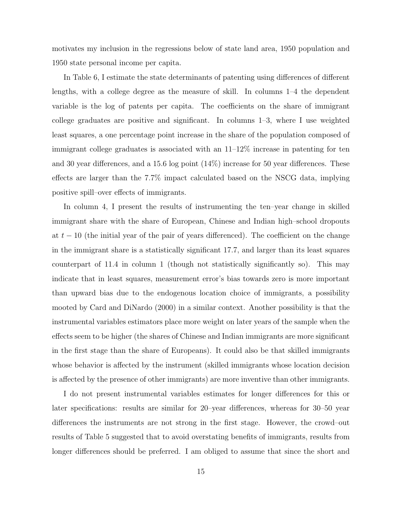motivates my inclusion in the regressions below of state land area, 1950 population and 1950 state personal income per capita.

In Table 6, I estimate the state determinants of patenting using differences of different lengths, with a college degree as the measure of skill. In columns 1–4 the dependent variable is the log of patents per capita. The coefficients on the share of immigrant college graduates are positive and significant. In columns 1–3, where I use weighted least squares, a one percentage point increase in the share of the population composed of immigrant college graduates is associated with an 11–12% increase in patenting for ten and 30 year differences, and a 15.6 log point (14%) increase for 50 year differences. These effects are larger than the 7.7% impact calculated based on the NSCG data, implying positive spill–over effects of immigrants.

In column 4, I present the results of instrumenting the ten–year change in skilled immigrant share with the share of European, Chinese and Indian high–school dropouts at  $t-10$  (the initial year of the pair of years differenced). The coefficient on the change in the immigrant share is a statistically significant 17.7, and larger than its least squares counterpart of 11.4 in column 1 (though not statistically significantly so). This may indicate that in least squares, measurement error's bias towards zero is more important than upward bias due to the endogenous location choice of immigrants, a possibility mooted by Card and DiNardo (2000) in a similar context. Another possibility is that the instrumental variables estimators place more weight on later years of the sample when the effects seem to be higher (the shares of Chinese and Indian immigrants are more significant in the first stage than the share of Europeans). It could also be that skilled immigrants whose behavior is affected by the instrument (skilled immigrants whose location decision is affected by the presence of other immigrants) are more inventive than other immigrants.

I do not present instrumental variables estimates for longer differences for this or later specifications: results are similar for 20–year differences, whereas for 30–50 year differences the instruments are not strong in the first stage. However, the crowd–out results of Table 5 suggested that to avoid overstating benefits of immigrants, results from longer differences should be preferred. I am obliged to assume that since the short and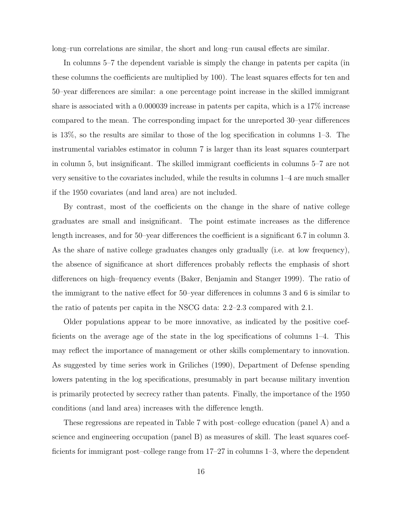long–run correlations are similar, the short and long–run causal effects are similar.

In columns 5–7 the dependent variable is simply the change in patents per capita (in these columns the coefficients are multiplied by 100). The least squares effects for ten and 50–year differences are similar: a one percentage point increase in the skilled immigrant share is associated with a 0.000039 increase in patents per capita, which is a 17% increase compared to the mean. The corresponding impact for the unreported 30–year differences is 13%, so the results are similar to those of the log specification in columns 1–3. The instrumental variables estimator in column 7 is larger than its least squares counterpart in column 5, but insignificant. The skilled immigrant coefficients in columns 5–7 are not very sensitive to the covariates included, while the results in columns 1–4 are much smaller if the 1950 covariates (and land area) are not included.

By contrast, most of the coefficients on the change in the share of native college graduates are small and insignificant. The point estimate increases as the difference length increases, and for 50–year differences the coefficient is a significant 6.7 in column 3. As the share of native college graduates changes only gradually (i.e. at low frequency), the absence of significance at short differences probably reflects the emphasis of short differences on high–frequency events (Baker, Benjamin and Stanger 1999). The ratio of the immigrant to the native effect for 50–year differences in columns 3 and 6 is similar to the ratio of patents per capita in the NSCG data: 2.2–2.3 compared with 2.1.

Older populations appear to be more innovative, as indicated by the positive coefficients on the average age of the state in the log specifications of columns 1–4. This may reflect the importance of management or other skills complementary to innovation. As suggested by time series work in Griliches (1990), Department of Defense spending lowers patenting in the log specifications, presumably in part because military invention is primarily protected by secrecy rather than patents. Finally, the importance of the 1950 conditions (and land area) increases with the difference length.

These regressions are repeated in Table 7 with post–college education (panel A) and a science and engineering occupation (panel B) as measures of skill. The least squares coefficients for immigrant post–college range from 17–27 in columns 1–3, where the dependent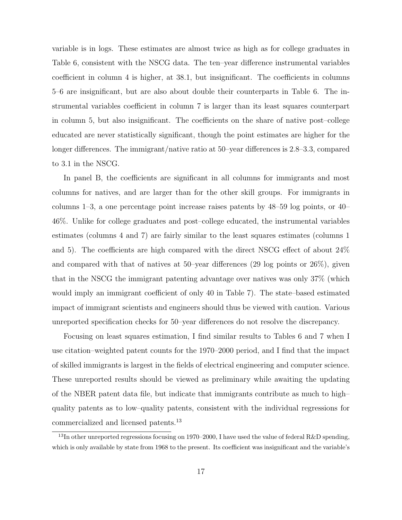variable is in logs. These estimates are almost twice as high as for college graduates in Table 6, consistent with the NSCG data. The ten–year difference instrumental variables coefficient in column 4 is higher, at 38.1, but insignificant. The coefficients in columns 5–6 are insignificant, but are also about double their counterparts in Table 6. The instrumental variables coefficient in column 7 is larger than its least squares counterpart in column 5, but also insignificant. The coefficients on the share of native post–college educated are never statistically significant, though the point estimates are higher for the longer differences. The immigrant/native ratio at 50–year differences is 2.8–3.3, compared to 3.1 in the NSCG.

In panel B, the coefficients are significant in all columns for immigrants and most columns for natives, and are larger than for the other skill groups. For immigrants in columns 1–3, a one percentage point increase raises patents by 48–59 log points, or 40– 46%. Unlike for college graduates and post–college educated, the instrumental variables estimates (columns 4 and 7) are fairly similar to the least squares estimates (columns 1 and 5). The coefficients are high compared with the direct NSCG effect of about 24% and compared with that of natives at 50–year differences  $(29 \log \text{ points or } 26\%)$ , given that in the NSCG the immigrant patenting advantage over natives was only 37% (which would imply an immigrant coefficient of only 40 in Table 7). The state–based estimated impact of immigrant scientists and engineers should thus be viewed with caution. Various unreported specification checks for 50–year differences do not resolve the discrepancy.

Focusing on least squares estimation, I find similar results to Tables 6 and 7 when I use citation–weighted patent counts for the 1970–2000 period, and I find that the impact of skilled immigrants is largest in the fields of electrical engineering and computer science. These unreported results should be viewed as preliminary while awaiting the updating of the NBER patent data file, but indicate that immigrants contribute as much to high– quality patents as to low–quality patents, consistent with the individual regressions for commercialized and licensed patents.<sup>13</sup>

<sup>&</sup>lt;sup>13</sup>In other unreported regressions focusing on 1970–2000, I have used the value of federal R&D spending, which is only available by state from 1968 to the present. Its coefficient was insignificant and the variable's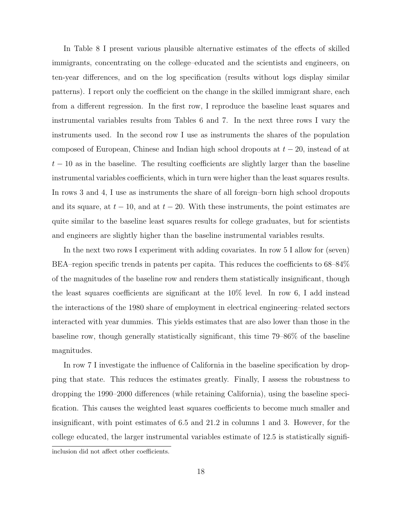In Table 8 I present various plausible alternative estimates of the effects of skilled immigrants, concentrating on the college–educated and the scientists and engineers, on ten-year differences, and on the log specification (results without logs display similar patterns). I report only the coefficient on the change in the skilled immigrant share, each from a different regression. In the first row, I reproduce the baseline least squares and instrumental variables results from Tables 6 and 7. In the next three rows I vary the instruments used. In the second row I use as instruments the shares of the population composed of European, Chinese and Indian high school dropouts at  $t - 20$ , instead of at  $t-10$  as in the baseline. The resulting coefficients are slightly larger than the baseline instrumental variables coefficients, which in turn were higher than the least squares results. In rows 3 and 4, I use as instruments the share of all foreign–born high school dropouts and its square, at  $t - 10$ , and at  $t - 20$ . With these instruments, the point estimates are quite similar to the baseline least squares results for college graduates, but for scientists and engineers are slightly higher than the baseline instrumental variables results.

In the next two rows I experiment with adding covariates. In row 5 I allow for (seven) BEA–region specific trends in patents per capita. This reduces the coefficients to 68–84% of the magnitudes of the baseline row and renders them statistically insignificant, though the least squares coefficients are significant at the 10% level. In row 6, I add instead the interactions of the 1980 share of employment in electrical engineering–related sectors interacted with year dummies. This yields estimates that are also lower than those in the baseline row, though generally statistically significant, this time 79–86% of the baseline magnitudes.

In row 7 I investigate the influence of California in the baseline specification by dropping that state. This reduces the estimates greatly. Finally, I assess the robustness to dropping the 1990–2000 differences (while retaining California), using the baseline specification. This causes the weighted least squares coefficients to become much smaller and insignificant, with point estimates of 6.5 and 21.2 in columns 1 and 3. However, for the college educated, the larger instrumental variables estimate of 12.5 is statistically signifiinclusion did not affect other coefficients.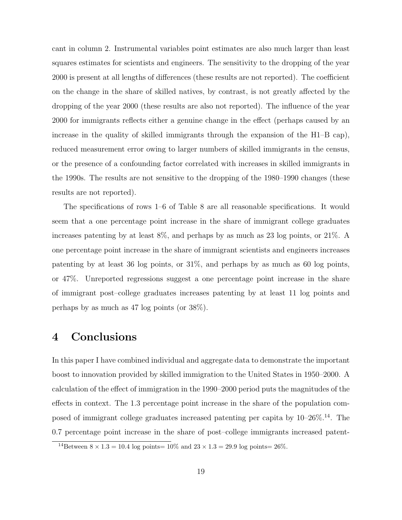cant in column 2. Instrumental variables point estimates are also much larger than least squares estimates for scientists and engineers. The sensitivity to the dropping of the year 2000 is present at all lengths of differences (these results are not reported). The coefficient on the change in the share of skilled natives, by contrast, is not greatly affected by the dropping of the year 2000 (these results are also not reported). The influence of the year 2000 for immigrants reflects either a genuine change in the effect (perhaps caused by an increase in the quality of skilled immigrants through the expansion of the H1–B cap), reduced measurement error owing to larger numbers of skilled immigrants in the census, or the presence of a confounding factor correlated with increases in skilled immigrants in the 1990s. The results are not sensitive to the dropping of the 1980–1990 changes (these results are not reported).

The specifications of rows 1–6 of Table 8 are all reasonable specifications. It would seem that a one percentage point increase in the share of immigrant college graduates increases patenting by at least 8%, and perhaps by as much as 23 log points, or 21%. A one percentage point increase in the share of immigrant scientists and engineers increases patenting by at least 36 log points, or 31%, and perhaps by as much as 60 log points, or 47%. Unreported regressions suggest a one percentage point increase in the share of immigrant post–college graduates increases patenting by at least 11 log points and perhaps by as much as 47 log points (or 38%).

### 4 Conclusions

In this paper I have combined individual and aggregate data to demonstrate the important boost to innovation provided by skilled immigration to the United States in 1950–2000. A calculation of the effect of immigration in the 1990–2000 period puts the magnitudes of the effects in context. The 1.3 percentage point increase in the share of the population composed of immigrant college graduates increased patenting per capita by  $10-26\%$ .<sup>14</sup>. The 0.7 percentage point increase in the share of post–college immigrants increased patent-

<sup>&</sup>lt;sup>14</sup>Between  $8 \times 1.3 = 10.4$  log points=  $10\%$  and  $23 \times 1.3 = 29.9$  log points=  $26\%$ .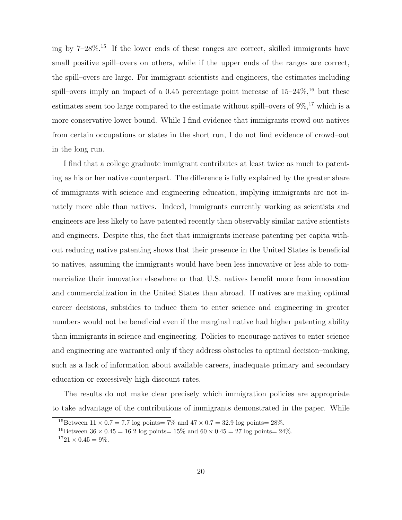ing by  $7-28\%$ <sup>15</sup> If the lower ends of these ranges are correct, skilled immigrants have small positive spill–overs on others, while if the upper ends of the ranges are correct, the spill–overs are large. For immigrant scientists and engineers, the estimates including spill–overs imply an impact of a 0.45 percentage point increase of  $15-24\%,$ <sup>16</sup> but these estimates seem too large compared to the estimate without spill–overs of  $9\%,$ <sup>17</sup> which is a more conservative lower bound. While I find evidence that immigrants crowd out natives from certain occupations or states in the short run, I do not find evidence of crowd–out in the long run.

I find that a college graduate immigrant contributes at least twice as much to patenting as his or her native counterpart. The difference is fully explained by the greater share of immigrants with science and engineering education, implying immigrants are not innately more able than natives. Indeed, immigrants currently working as scientists and engineers are less likely to have patented recently than observably similar native scientists and engineers. Despite this, the fact that immigrants increase patenting per capita without reducing native patenting shows that their presence in the United States is beneficial to natives, assuming the immigrants would have been less innovative or less able to commercialize their innovation elsewhere or that U.S. natives benefit more from innovation and commercialization in the United States than abroad. If natives are making optimal career decisions, subsidies to induce them to enter science and engineering in greater numbers would not be beneficial even if the marginal native had higher patenting ability than immigrants in science and engineering. Policies to encourage natives to enter science and engineering are warranted only if they address obstacles to optimal decision–making, such as a lack of information about available careers, inadequate primary and secondary education or excessively high discount rates.

The results do not make clear precisely which immigration policies are appropriate to take advantage of the contributions of immigrants demonstrated in the paper. While

<sup>&</sup>lt;sup>15</sup>Between  $11 \times 0.7 = 7.7$  log points=  $7\%$  and  $47 \times 0.7 = 32.9$  log points=  $28\%$ .

<sup>&</sup>lt;sup>16</sup>Between  $36 \times 0.45 = 16.2$  log points=  $15\%$  and  $60 \times 0.45 = 27$  log points=  $24\%$ .

 $1721 \times 0.45 = 9\%.$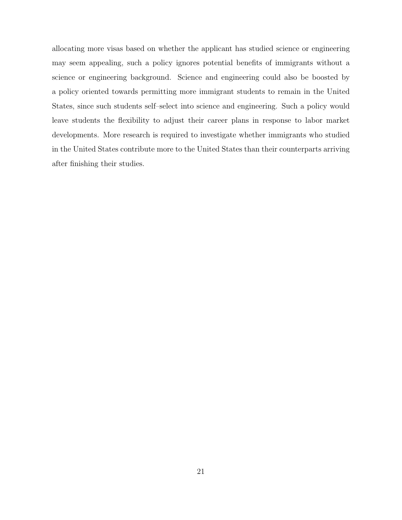allocating more visas based on whether the applicant has studied science or engineering may seem appealing, such a policy ignores potential benefits of immigrants without a science or engineering background. Science and engineering could also be boosted by a policy oriented towards permitting more immigrant students to remain in the United States, since such students self–select into science and engineering. Such a policy would leave students the flexibility to adjust their career plans in response to labor market developments. More research is required to investigate whether immigrants who studied in the United States contribute more to the United States than their counterparts arriving after finishing their studies.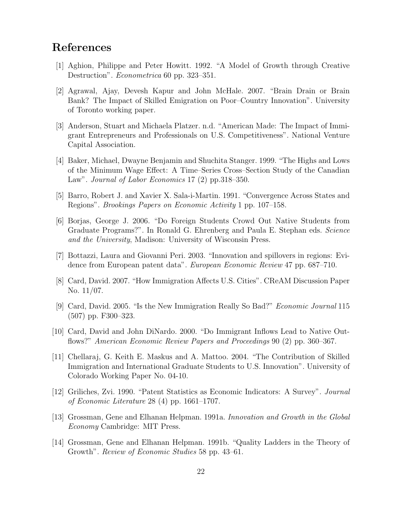## References

- [1] Aghion, Philippe and Peter Howitt. 1992. "A Model of Growth through Creative Destruction". Econometrica 60 pp. 323–351.
- [2] Agrawal, Ajay, Devesh Kapur and John McHale. 2007. "Brain Drain or Brain Bank? The Impact of Skilled Emigration on Poor–Country Innovation". University of Toronto working paper.
- [3] Anderson, Stuart and Michaela Platzer. n.d. "American Made: The Impact of Immigrant Entrepreneurs and Professionals on U.S. Competitiveness". National Venture Capital Association.
- [4] Baker, Michael, Dwayne Benjamin and Shuchita Stanger. 1999. "The Highs and Lows of the Minimum Wage Effect: A Time–Series Cross–Section Study of the Canadian Law". Journal of Labor Economics 17 (2) pp.318–350.
- [5] Barro, Robert J. and Xavier X. Sala-i-Martin. 1991. "Convergence Across States and Regions". Brookings Papers on Economic Activity 1 pp. 107–158.
- [6] Borjas, George J. 2006. "Do Foreign Students Crowd Out Native Students from Graduate Programs?". In Ronald G. Ehrenberg and Paula E. Stephan eds. Science and the University, Madison: University of Wisconsin Press.
- [7] Bottazzi, Laura and Giovanni Peri. 2003. "Innovation and spillovers in regions: Evidence from European patent data". European Economic Review 47 pp. 687–710.
- [8] Card, David. 2007. "How Immigration Affects U.S. Cities". CReAM Discussion Paper No. 11/07.
- [9] Card, David. 2005. "Is the New Immigration Really So Bad?" Economic Journal 115 (507) pp. F300–323.
- [10] Card, David and John DiNardo. 2000. "Do Immigrant Inflows Lead to Native Outflows?" American Economic Review Papers and Proceedings 90 (2) pp. 360–367.
- [11] Chellaraj, G. Keith E. Maskus and A. Mattoo. 2004. "The Contribution of Skilled Immigration and International Graduate Students to U.S. Innovation". University of Colorado Working Paper No. 04-10.
- [12] Griliches, Zvi. 1990. "Patent Statistics as Economic Indicators: A Survey". Journal of Economic Literature 28 (4) pp. 1661–1707.
- [13] Grossman, Gene and Elhanan Helpman. 1991a. Innovation and Growth in the Global Economy Cambridge: MIT Press.
- [14] Grossman, Gene and Elhanan Helpman. 1991b. "Quality Ladders in the Theory of Growth". Review of Economic Studies 58 pp. 43–61.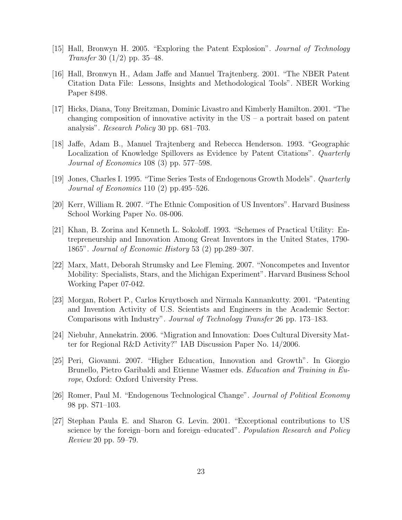- [15] Hall, Bronwyn H. 2005. "Exploring the Patent Explosion". Journal of Technology Transfer 30 (1/2) pp. 35–48.
- [16] Hall, Bronwyn H., Adam Jaffe and Manuel Trajtenberg. 2001. "The NBER Patent Citation Data File: Lessons, Insights and Methodological Tools". NBER Working Paper 8498.
- [17] Hicks, Diana, Tony Breitzman, Dominic Livastro and Kimberly Hamilton. 2001. "The changing composition of innovative activity in the  $US - a$  portrait based on patent analysis". Research Policy 30 pp. 681–703.
- [18] Jaffe, Adam B., Manuel Trajtenberg and Rebecca Henderson. 1993. "Geographic Localization of Knowledge Spillovers as Evidence by Patent Citations". Quarterly Journal of Economics 108 (3) pp. 577–598.
- [19] Jones, Charles I. 1995. "Time Series Tests of Endogenous Growth Models". Quarterly Journal of Economics 110 (2) pp.495–526.
- [20] Kerr, William R. 2007. "The Ethnic Composition of US Inventors". Harvard Business School Working Paper No. 08-006.
- [21] Khan, B. Zorina and Kenneth L. Sokoloff. 1993. "Schemes of Practical Utility: Entrepreneurship and Innovation Among Great Inventors in the United States, 1790- 1865". Journal of Economic History 53 (2) pp.289–307.
- [22] Marx, Matt, Deborah Strumsky and Lee Fleming. 2007. "Noncompetes and Inventor Mobility: Specialists, Stars, and the Michigan Experiment". Harvard Business School Working Paper 07-042.
- [23] Morgan, Robert P., Carlos Kruytbosch and Nirmala Kannankutty. 2001. "Patenting and Invention Activity of U.S. Scientists and Engineers in the Academic Sector: Comparisons with Industry". Journal of Technology Transfer 26 pp. 173–183.
- [24] Niebuhr, Annekatrin. 2006. "Migration and Innovation: Does Cultural Diversity Matter for Regional R&D Activity?" IAB Discussion Paper No. 14/2006.
- [25] Peri, Giovanni. 2007. "Higher Education, Innovation and Growth". In Giorgio Brunello, Pietro Garibaldi and Etienne Wasmer eds. Education and Training in Europe, Oxford: Oxford University Press.
- [26] Romer, Paul M. "Endogenous Technological Change". Journal of Political Economy 98 pp. S71–103.
- [27] Stephan Paula E. and Sharon G. Levin. 2001. "Exceptional contributions to US science by the foreign–born and foreign–educated". Population Research and Policy Review 20 pp. 59–79.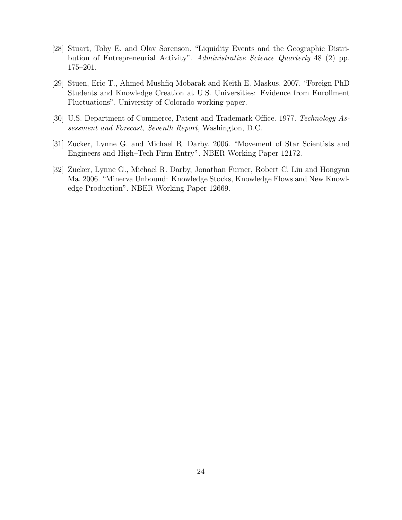- [28] Stuart, Toby E. and Olav Sorenson. "Liquidity Events and the Geographic Distribution of Entrepreneurial Activity". Administrative Science Quarterly 48 (2) pp. 175–201.
- [29] Stuen, Eric T., Ahmed Mushfiq Mobarak and Keith E. Maskus. 2007. "Foreign PhD Students and Knowledge Creation at U.S. Universities: Evidence from Enrollment Fluctuations". University of Colorado working paper.
- [30] U.S. Department of Commerce, Patent and Trademark Office. 1977. Technology Assessment and Forecast, Seventh Report, Washington, D.C.
- [31] Zucker, Lynne G. and Michael R. Darby. 2006. "Movement of Star Scientists and Engineers and High–Tech Firm Entry". NBER Working Paper 12172.
- [32] Zucker, Lynne G., Michael R. Darby, Jonathan Furner, Robert C. Liu and Hongyan Ma. 2006. "Minerva Unbound: Knowledge Stocks, Knowledge Flows and New Knowledge Production". NBER Working Paper 12669.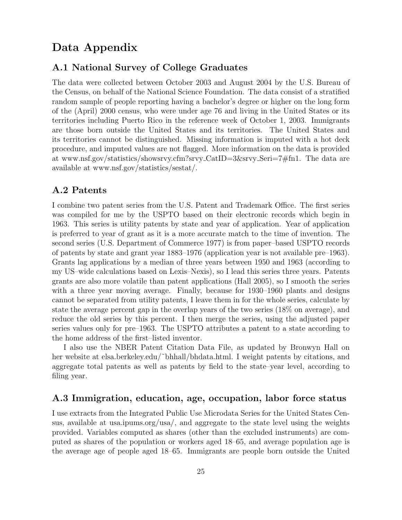## Data Appendix

#### A.1 National Survey of College Graduates

The data were collected between October 2003 and August 2004 by the U.S. Bureau of the Census, on behalf of the National Science Foundation. The data consist of a stratified random sample of people reporting having a bachelor's degree or higher on the long form of the (April) 2000 census, who were under age 76 and living in the United States or its territories including Puerto Rico in the reference week of October 1, 2003. Immigrants are those born outside the United States and its territories. The United States and its territories cannot be distinguished. Missing information is imputed with a hot deck procedure, and imputed values are not flagged. More information on the data is provided at www.nsf.gov/statistics/showsrvy.cfm?srvy CatID=3&srvy Seri=7#fn1. The data are available at www.nsf.gov/statistics/sestat/.

#### A.2 Patents

I combine two patent series from the U.S. Patent and Trademark Office. The first series was compiled for me by the USPTO based on their electronic records which begin in 1963. This series is utility patents by state and year of application. Year of application is preferred to year of grant as it is a more accurate match to the time of invention. The second series (U.S. Department of Commerce 1977) is from paper–based USPTO records of patents by state and grant year 1883–1976 (application year is not available pre–1963). Grants lag applications by a median of three years between 1950 and 1963 (according to my US–wide calculations based on Lexis–Nexis), so I lead this series three years. Patents grants are also more volatile than patent applications (Hall 2005), so I smooth the series with a three year moving average. Finally, because for 1930–1960 plants and designs cannot be separated from utility patents, I leave them in for the whole series, calculate by state the average percent gap in the overlap years of the two series (18% on average), and reduce the old series by this percent. I then merge the series, using the adjusted paper series values only for pre–1963. The USPTO attributes a patent to a state according to the home address of the first–listed inventor.

I also use the NBER Patent Citation Data File, as updated by Bronwyn Hall on her website at elsa.berkeley.edu/~bhhall/bhdata.html. I weight patents by citations, and aggregate total patents as well as patents by field to the state–year level, according to filing year.

#### A.3 Immigration, education, age, occupation, labor force status

I use extracts from the Integrated Public Use Microdata Series for the United States Census, available at usa.ipums.org/usa/, and aggregate to the state level using the weights provided. Variables computed as shares (other than the excluded instruments) are computed as shares of the population or workers aged 18–65, and average population age is the average age of people aged 18–65. Immigrants are people born outside the United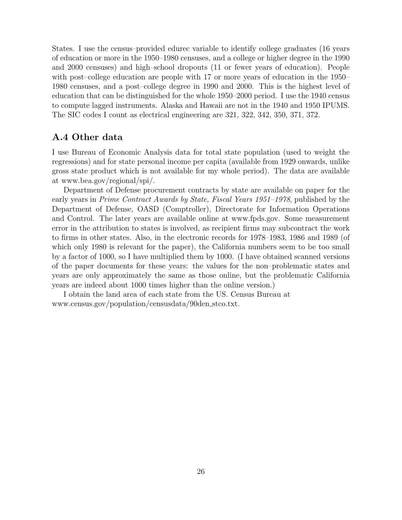States. I use the census–provided edurec variable to identify college graduates (16 years of education or more in the 1950–1980 censuses, and a college or higher degree in the 1990 and 2000 censuses) and high–school dropouts (11 or fewer years of education). People with post–college education are people with 17 or more years of education in the 1950– 1980 censuses, and a post–college degree in 1990 and 2000. This is the highest level of education that can be distinguished for the whole 1950–2000 period. I use the 1940 census to compute lagged instruments. Alaska and Hawaii are not in the 1940 and 1950 IPUMS. The SIC codes I count as electrical engineering are 321, 322, 342, 350, 371, 372.

#### A.4 Other data

I use Bureau of Economic Analysis data for total state population (used to weight the regressions) and for state personal income per capita (available from 1929 onwards, unlike gross state product which is not available for my whole period). The data are available at www.bea.gov/regional/spi/.

Department of Defense procurement contracts by state are available on paper for the early years in Prime Contract Awards by State, Fiscal Years 1951–1978, published by the Department of Defense, OASD (Comptroller), Directorate for Information Operations and Control. The later years are available online at www.fpds.gov. Some measurement error in the attribution to states is involved, as recipient firms may subcontract the work to firms in other states. Also, in the electronic records for 1978–1983, 1986 and 1989 (of which only 1980 is relevant for the paper), the California numbers seem to be too small by a factor of 1000, so I have multiplied them by 1000. (I have obtained scanned versions of the paper documents for these years: the values for the non–problematic states and years are only approximately the same as those online, but the problematic California years are indeed about 1000 times higher than the online version.)

I obtain the land area of each state from the US. Census Bureau at www.census.gov/population/censusdata/90den stco.txt.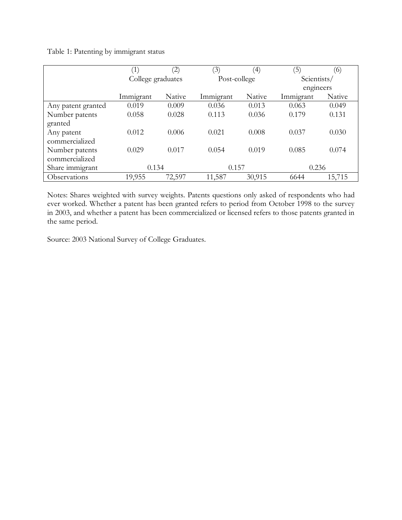Table 1: Patenting by immigrant status

|                    | (1)               | $\left( 2\right)$ | (3)          | $\left(4\right)$ | $\left(5\right)$ | (6)    |
|--------------------|-------------------|-------------------|--------------|------------------|------------------|--------|
|                    | College graduates |                   | Post-college |                  | Scientists/      |        |
|                    |                   |                   |              |                  | engineers        |        |
|                    | Immigrant         | Native            | Immigrant    | Native           | Immigrant        | Native |
| Any patent granted | 0.019             | 0.009             | 0.036        | 0.013            | 0.063            | 0.049  |
| Number patents     | 0.058             | 0.028             | 0.113        | 0.036            | 0.179            | 0.131  |
| granted            |                   |                   |              |                  |                  |        |
| Any patent         | 0.012             | 0.006             | 0.021        | 0.008            | 0.037            | 0.030  |
| commercialized     |                   |                   |              |                  |                  |        |
| Number patents     | 0.029             | 0.017             | 0.054        | 0.019            | 0.085            | 0.074  |
| commercialized     |                   |                   |              |                  |                  |        |
| Share immigrant    | 0.134             |                   | 0.157        |                  | 0.236            |        |
| Observations       | 19,955            | 72,597            | 11,587       | 30,915           | 6644             | 15,715 |

Notes: Shares weighted with survey weights. Patents questions only asked of respondents who had ever worked. Whether a patent has been granted refers to period from October 1998 to the survey in 2003, and whether a patent has been commercialized or licensed refers to those patents granted in the same period.

Source: 2003 National Survey of College Graduates.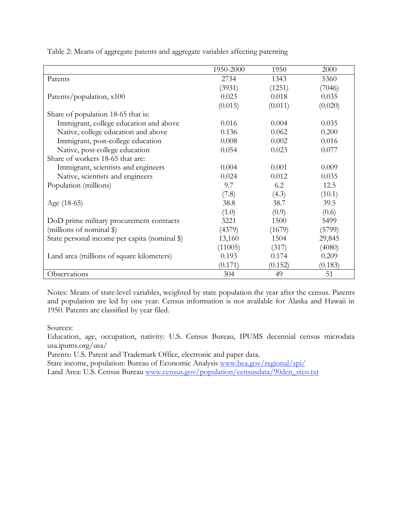1950-2000 1950 2000 Patents 2734 (3931) 1343 (1251) 5360 (7046) Patents/population, x100 0.023  $(0.015)$ 0.018 (0.011) 0.035 (0.020) Share of population 18-65 that is: Immigrant, college education and above  $0.016$  0.004 0.035 Native, college education and above  $0.136$  0.062 0.200 Immigrant, post-college education 0.008 0.002 0.016 Native, post-college education 0.054 0.023 0.077 Share of workers 18-65 that are: Immigrant, scientists and engineers 0.004 0.001 0.009 Native, scientists and engineers 0.024 0.012 0.035 Population (millions) 9.7 (7.8) 6.2 (4.3) 12.5 (10.1) Age (18-65) 38.8 (1.0) 38.7  $(0.9)$ 39.5  $(0.6)$ DoD prime military procurement contracts (millions of nominal \$) 3221 (4379) 1500 (1679) 5499 (5799) State personal income per capita (nominal \\$) 13,160 (11005) 1504 (317) 29,845 (4080) Land area (millions of square kilometers) 0.193 (0.171) 0.174  $(0.152)$ 0.209 (0.183) Observations 304 49 51

Table 2: Means of aggregate patents and aggregate variables affecting patenting

Notes: Means of state-level variables, weighted by state population the year after the census. Patents and population are led by one year. Census information is not available for Alaska and Hawaii in 1950. Patents are classified by year filed.

Sources:

Education, age, occupation, nativity: U.S. Census Bureau, IPUMS decennial census microdata usa.ipums.org/usa/

Patents: U.S. Patent and Trademark Office, electronic and paper data.

State income, population: Bureau of Economic Analysis www.bea.gov/regional/spi/

Land Area: U.S. Census Bureau www.census.gov/population/censusdata/90den\_stco.txt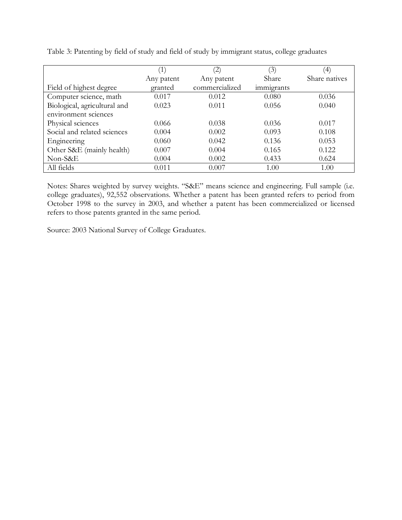|                              | $\left(1\right)$ | $\left( 2\right)$ | (3)        | $\left( 4\right)$ |
|------------------------------|------------------|-------------------|------------|-------------------|
|                              | Any patent       | Any patent        | Share      | Share natives     |
| Field of highest degree      | granted          | commercialized    | immigrants |                   |
| Computer science, math       | 0.017            | 0.012             | 0.080      | 0.036             |
| Biological, agricultural and | 0.023            | 0.011             | 0.056      | 0.040             |
| environment sciences         |                  |                   |            |                   |
| Physical sciences            | 0.066            | 0.038             | 0.036      | 0.017             |
| Social and related sciences  | 0.004            | 0.002             | 0.093      | 0.108             |
| Engineering                  | 0.060            | 0.042             | 0.136      | 0.053             |
| Other S&E (mainly health)    | 0.007            | 0.004             | 0.165      | 0.122             |
| Non-S&E                      | 0.004            | 0.002             | 0.433      | 0.624             |
| All fields                   | 0.011            | 0.007             | 1.00       | 1.00              |

Table 3: Patenting by field of study and field of study by immigrant status, college graduates

Notes: Shares weighted by survey weights. "S&E" means science and engineering. Full sample (i.e. college graduates), 92,552 observations. Whether a patent has been granted refers to period from October 1998 to the survey in 2003, and whether a patent has been commercialized or licensed refers to those patents granted in the same period.

Source: 2003 National Survey of College Graduates.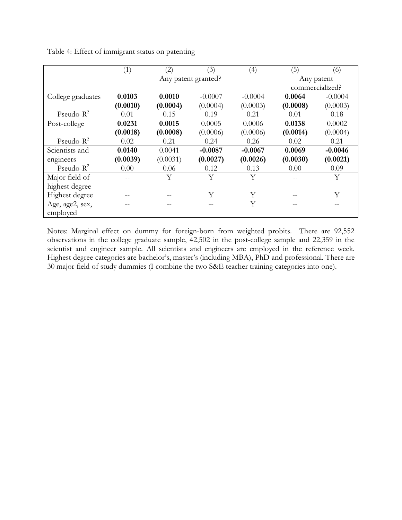|                   | (1)      | $\left( 2\right)$ | (3)                 | (4)       | (5)             | (6)       |
|-------------------|----------|-------------------|---------------------|-----------|-----------------|-----------|
|                   |          |                   | Any patent granted? |           | Any patent      |           |
|                   |          |                   |                     |           | commercialized? |           |
| College graduates | 0.0103   | 0.0010            | $-0.0007$           | $-0.0004$ | 0.0064          | $-0.0004$ |
|                   | (0.0010) | (0.0004)          | (0.0004)            | (0.0003)  | (0.0008)        | (0.0003)  |
| Pseudo- $R^2$     | 0.01     | 0.15              | 0.19                | 0.21      | 0.01            | 0.18      |
| Post-college      | 0.0231   | 0.0015            | 0.0005              | 0.0006    | 0.0138          | 0.0002    |
|                   | (0.0018) | (0.0008)          | (0.0006)            | (0.0006)  | (0.0014)        | (0.0004)  |
| Pseudo- $R^2$     | 0.02     | 0.21              | 0.24                | 0.26      | 0.02            | 0.21      |
| Scientists and    | 0.0140   | 0.0041            | $-0.0087$           | $-0.0067$ | 0.0069          | $-0.0046$ |
| engineers         | (0.0039) | (0.0031)          | (0.0027)            | (0.0026)  | (0.0030)        | (0.0021)  |
| Pseudo- $R^2$     | 0.00     | 0.06              | 0.12                | 0.13      | 0.00            | 0.09      |
| Major field of    |          | Y                 | Y                   | Y         |                 | Y         |
| highest degree    |          |                   |                     |           |                 |           |
| Highest degree    |          |                   | Y                   | Υ         |                 | Υ         |
| Age, age2, sex,   |          |                   |                     | Y         |                 |           |
| employed          |          |                   |                     |           |                 |           |

Table 4: Effect of immigrant status on patenting

Notes: Marginal effect on dummy for foreign-born from weighted probits. There are 92,552 observations in the college graduate sample, 42,502 in the post-college sample and 22,359 in the scientist and engineer sample. All scientists and engineers are employed in the reference week. Highest degree categories are bachelor's, master's (including MBA), PhD and professional. There are 30 major field of study dummies (I combine the two S&E teacher training categories into one).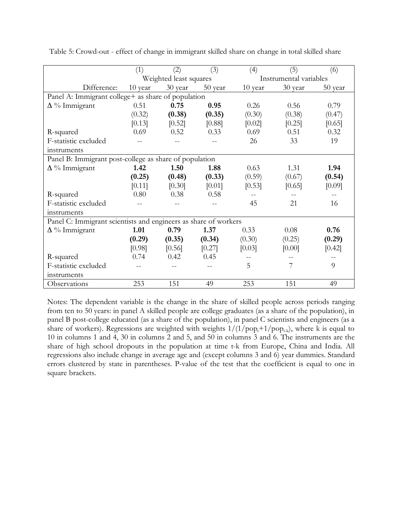|                                                                 | (1)     | (2)                    | (3)     | (4)     | (5)                    | (6)     |
|-----------------------------------------------------------------|---------|------------------------|---------|---------|------------------------|---------|
|                                                                 |         | Weighted least squares |         |         | Instrumental variables |         |
| Difference:                                                     | 10 year | 30 year                | 50 year | 10 year | 30 year                | 50 year |
| Panel A: Immigrant college+ as share of population              |         |                        |         |         |                        |         |
| $\Delta \%$ Immigrant                                           | 0.51    | 0.75                   | 0.95    | 0.26    | 0.56                   | 0.79    |
|                                                                 | (0.32)  | (0.38)                 | (0.35)  | (0.30)  | (0.38)                 | (0.47)  |
|                                                                 | [0.13]  | $[0.52]$               | [0.88]  | [0.02]  | [0.25]                 | [0.65]  |
| R-squared                                                       | 0.69    | 0.52                   | 0.33    | 0.69    | 0.51                   | 0.32    |
| F-statistic excluded                                            |         |                        |         | 26      | 33                     | 19      |
| instruments                                                     |         |                        |         |         |                        |         |
| Panel B: Immigrant post-college as share of population          |         |                        |         |         |                        |         |
| $\Delta \%$ Immigrant                                           | 1.42    | 1.50                   | 1.88    | 0.63    | 1.31                   | 1.94    |
|                                                                 | (0.25)  | (0.48)                 | (0.33)  | (0.59)  | (0.67)                 | (0.54)  |
|                                                                 | [0.11]  | [0.30]                 | [0.01]  | [0.53]  | [0.65]                 | [0.09]  |
| R-squared                                                       | 0.80    | 0.38                   | 0.58    |         |                        |         |
| F-statistic excluded                                            |         |                        |         | 45      | 21                     | 16      |
| instruments                                                     |         |                        |         |         |                        |         |
| Panel C: Immigrant scientists and engineers as share of workers |         |                        |         |         |                        |         |
| $\Delta \%$ Immigrant                                           | 1.01    | 0.79                   | 1.37    | 0.33    | 0.08                   | 0.76    |
|                                                                 | (0.29)  | (0.35)                 | (0.34)  | (0.30)  | (0.25)                 | (0.29)  |
|                                                                 | [0.98]  | [0.56]                 | [0.27]  | [0.03]  | [0.00]                 | [0.42]  |
| R-squared                                                       | 0.74    | 0.42                   | 0.45    |         |                        |         |
| F-statistic excluded                                            |         |                        |         | 5       | 7                      | 9       |
| instruments                                                     |         |                        |         |         |                        |         |
| Observations                                                    | 253     | 151                    | 49      | 253     | 151                    | 49      |

Table 5: Crowd-out - effect of change in immigrant skilled share on change in total skilled share

Notes: The dependent variable is the change in the share of skilled people across periods ranging from ten to 50 years: in panel A skilled people are college graduates (as a share of the population), in panel B post-college educated (as a share of the population), in panel C scientists and engineers (as a share of workers). Regressions are weighted with weights  $1/(1/pop_t+1/pop_{t,k})$ , where k is equal to 10 in columns 1 and 4, 30 in columns 2 and 5, and 50 in columns 3 and 6. The instruments are the share of high school dropouts in the population at time t-k from Europe, China and India. All regressions also include change in average age and (except columns 3 and 6) year dummies. Standard errors clustered by state in parentheses. P-value of the test that the coefficient is equal to one in square brackets.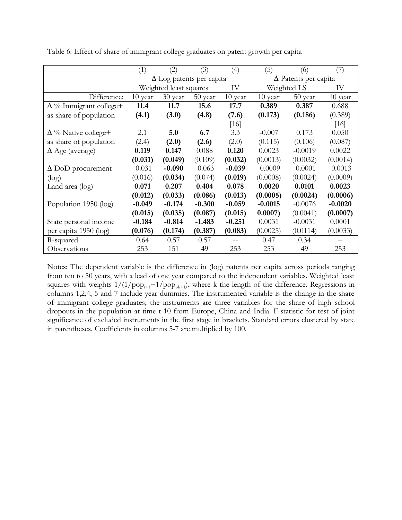|                                | (1)      | (2)                             | (3)      | (4)      | (5)         | (6)                         | (7)       |  |  |
|--------------------------------|----------|---------------------------------|----------|----------|-------------|-----------------------------|-----------|--|--|
|                                |          | $\Delta$ Log patents per capita |          |          |             | $\Delta$ Patents per capita |           |  |  |
|                                |          | Weighted least squares<br>IV    |          |          | Weighted LS | IV                          |           |  |  |
| Difference:                    | 10 year  | 30 year                         | 50 year  | 10 year  | $10$ year   | 50 year                     | 10 year   |  |  |
| $\Delta \%$ Immigrant college+ | 11.4     | 11.7                            | 15.6     | 17.7     | 0.389       | 0.387                       | 0.688     |  |  |
| as share of population         | (4.1)    | (3.0)                           | (4.8)    | (7.6)    | (0.173)     | (0.186)                     | (0.389)   |  |  |
|                                |          |                                 |          | [16]     |             |                             | [16]      |  |  |
| $\Delta \%$ Native college+    | 2.1      | 5.0                             | 6.7      | 3.3      | $-0.007$    | 0.173                       | 0.050     |  |  |
| as share of population         | (2.4)    | (2.0)                           | (2.6)    | (2.0)    | (0.115)     | (0.106)                     | (0.087)   |  |  |
| $\Delta$ Age (average)         | 0.119    | 0.147                           | 0.088    | 0.120    | 0.0023      | $-0.0019$                   | 0.0022    |  |  |
|                                | (0.031)  | (0.049)                         | (0.109)  | (0.032)  | (0.0013)    | (0.0032)                    | (0.0014)  |  |  |
| $\Delta$ DoD procurement       | $-0.031$ | $-0.090$                        | $-0.063$ | $-0.039$ | $-0.0009$   | $-0.0001$                   | $-0.0013$ |  |  |
| (log)                          | (0.016)  | (0.034)                         | (0.074)  | (0.019)  | (0.0008)    | (0.0024)                    | (0.0009)  |  |  |
| Land area (log)                | 0.071    | 0.207                           | 0.404    | 0.078    | 0.0020      | 0.0101                      | 0.0023    |  |  |
|                                | (0.012)  | (0.033)                         | (0.086)  | (0.013)  | (0.0005)    | (0.0024)                    | (0.0006)  |  |  |
| Population 1950 (log)          | $-0.049$ | $-0.174$                        | $-0.300$ | $-0.059$ | $-0.0015$   | $-0.0076$                   | $-0.0020$ |  |  |
|                                | (0.015)  | (0.035)                         | (0.087)  | (0.015)  | 0.0007      | (0.0041)                    | (0.0007)  |  |  |
| State personal income          | $-0.184$ | $-0.814$                        | $-1.483$ | $-0.251$ | 0.0031      | $-0.0031$                   | 0.0001    |  |  |
| per capita 1950 (log)          | (0.076)  | (0.174)                         | (0.387)  | (0.083)  | (0.0025)    | (0.0114)                    | (0.0033)  |  |  |
| R-squared                      | 0.64     | 0.57                            | 0.57     |          | 0.47        | 0.34                        |           |  |  |
| Observations                   | 253      | 151                             | 49       | 253      | 253         | 49                          | 253       |  |  |

Table 6: Effect of share of immigrant college graduates on patent growth per capita

Notes: The dependent variable is the difference in (log) patents per capita across periods ranging from ten to 50 years, with a lead of one year compared to the independent variables. Weighted least squares with weights  $1/(1/pop_{t+1}+1/pop_{t+k+1})$ , where k the length of the difference. Regressions in columns 1,2,4, 5 and 7 include year dummies. The instrumented variable is the change in the share of immigrant college graduates; the instruments are three variables for the share of high school dropouts in the population at time t-10 from Europe, China and India. F-statistic for test of joint significance of excluded instruments in the first stage in brackets. Standard errors clustered by state in parentheses. Coefficients in columns 5-7 are multiplied by 100.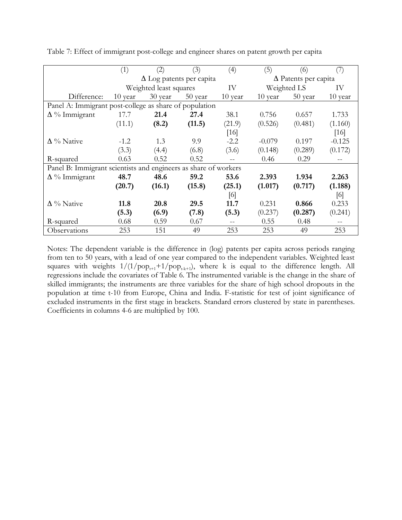|                                                                 | (1)     | (2)                             | (3)     | (4)     | (5)                         | (6)         | (7)               |  |
|-----------------------------------------------------------------|---------|---------------------------------|---------|---------|-----------------------------|-------------|-------------------|--|
|                                                                 |         | $\Delta$ Log patents per capita |         |         | $\Delta$ Patents per capita |             |                   |  |
|                                                                 |         | Weighted least squares<br>IV    |         |         |                             | Weighted LS |                   |  |
| Difference:                                                     | 10 year | 30 year                         | 50 year | 10 year | 10 year                     | 50 year     | $10$ year         |  |
| Panel A: Immigrant post-college as share of population          |         |                                 |         |         |                             |             |                   |  |
| $\Delta \%$ Immigrant                                           | 17.7    | 21.4                            | 27.4    | 38.1    | 0.756                       | 0.657       | 1.733             |  |
|                                                                 | (11.1)  | (8.2)                           | (11.5)  | (21.9)  | (0.526)                     | (0.481)     | (1.160)           |  |
|                                                                 |         |                                 |         | [16]    |                             |             | $[16]$            |  |
| $\Delta \%$ Native                                              | $-1.2$  | 1.3                             | 9.9     | $-2.2$  | $-0.079$                    | 0.197       | $-0.125$          |  |
|                                                                 | (3.3)   | (4.4)                           | (6.8)   | (3.6)   | (0.148)                     | (0.289)     | (0.172)           |  |
| R-squared                                                       | 0.63    | 0.52                            | 0.52    |         | 0.46                        | 0.29        | $\qquad \qquad -$ |  |
| Panel B: Immigrant scientists and engineers as share of workers |         |                                 |         |         |                             |             |                   |  |
| $\Delta \%$ Immigrant                                           | 48.7    | 48.6                            | 59.2    | 53.6    | 2.393                       | 1.934       | 2.263             |  |
|                                                                 | (20.7)  | (16.1)                          | (15.8)  | (25.1)  | (1.017)                     | (0.717)     | (1.188)           |  |
|                                                                 |         |                                 |         | [6]     |                             |             | [6]               |  |
| $\Delta \%$ Native                                              | 11.8    | 20.8                            | 29.5    | 11.7    | 0.231                       | 0.866       | 0.233             |  |
|                                                                 | (5.3)   | (6.9)                           | (7.8)   | (5.3)   | (0.237)                     | (0.287)     | (0.241)           |  |
| R-squared                                                       | 0.68    | 0.59                            | 0.67    |         | 0.55                        | 0.48        | $- -$             |  |
| Observations                                                    | 253     | 151                             | 49      | 253     | 253                         | 49          | 253               |  |

Table 7: Effect of immigrant post-college and engineer shares on patent growth per capita

Notes: The dependent variable is the difference in (log) patents per capita across periods ranging from ten to 50 years, with a lead of one year compared to the independent variables. Weighted least squares with weights  $1/(1/pop_{t+1}+1/pop_{t+k+1}),$  where k is equal to the difference length. All regressions include the covariates of Table 6. The instrumented variable is the change in the share of skilled immigrants; the instruments are three variables for the share of high school dropouts in the population at time t-10 from Europe, China and India. F-statistic for test of joint significance of excluded instruments in the first stage in brackets. Standard errors clustered by state in parentheses. Coefficients in columns 4-6 are multiplied by 100.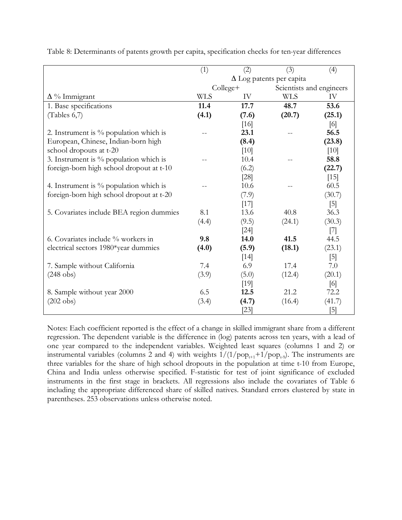|                                           | (1)                             | (2)        | (3)                      | (4)    |  |
|-------------------------------------------|---------------------------------|------------|--------------------------|--------|--|
|                                           | $\Delta$ Log patents per capita |            |                          |        |  |
|                                           |                                 | $Collect+$ | Scientists and engineers |        |  |
| $\Delta \%$ Immigrant                     | <b>WLS</b>                      | IV         | <b>WLS</b>               | IV     |  |
| 1. Base specifications                    | 11.4                            | 17.7       | 48.7                     | 53.6   |  |
| (Tables 6,7)                              | (4.1)                           | (7.6)      | (20.7)                   | (25.1) |  |
|                                           |                                 | [16]       |                          | [6]    |  |
| 2. Instrument is $\%$ population which is |                                 | 23.1       |                          | 56.5   |  |
| European, Chinese, Indian-born high       |                                 | (8.4)      |                          | (23.8) |  |
| school dropouts at t-20                   |                                 | [10]       |                          | $[10]$ |  |
| 3. Instrument is $\%$ population which is |                                 | 10.4       |                          | 58.8   |  |
| foreign-born high school dropout at t-10  |                                 | (6.2)      |                          | (22.7) |  |
|                                           |                                 | [28]       |                          | $[15]$ |  |
| 4. Instrument is $\%$ population which is |                                 | 10.6       |                          | 60.5   |  |
| foreign-born high school dropout at t-20  |                                 | (7.9)      |                          | (30.7) |  |
|                                           |                                 | [17]       |                          | $[5]$  |  |
| 5. Covariates include BEA region dummies  | 8.1                             | 13.6       | 40.8                     | 36.3   |  |
|                                           | (4.4)                           | (9.5)      | (24.1)                   | (30.3) |  |
|                                           |                                 | $[24]$     |                          | $[7]$  |  |
| 6. Covariates include % workers in        | 9.8                             | 14.0       | 41.5                     | 44.5   |  |
| electrical sectors 1980*year dummies      | (4.0)                           | (5.9)      | (18.1)                   | (23.1) |  |
|                                           |                                 | $[14]$     |                          | $[5]$  |  |
| 7. Sample without California              | 7.4                             | 6.9        | 17.4                     | 7.0    |  |
| $(248$ obs)                               | (3.9)                           | (5.0)      | (12.4)                   | (20.1) |  |
|                                           |                                 | [19]       |                          | [6]    |  |
| 8. Sample without year 2000               | 6.5                             | 12.5       | 21.2                     | 72.2   |  |
| $(202 \text{ obs})$                       | (3.4)                           | (4.7)      | (16.4)                   | (41.7) |  |
|                                           |                                 | $[23]$     |                          | [5]    |  |

Table 8: Determinants of patents growth per capita, specification checks for ten-year differences

Notes: Each coefficient reported is the effect of a change in skilled immigrant share from a different regression. The dependent variable is the difference in (log) patents across ten years, with a lead of one year compared to the independent variables. Weighted least squares (columns 1 and 2) or instrumental variables (columns 2 and 4) with weights  $1/(1/pop<sub>t+1</sub>+1/pop<sub>t-9</sub>)$ . The instruments are three variables for the share of high school dropouts in the population at time t-10 from Europe, China and India unless otherwise specified. F-statistic for test of joint significance of excluded instruments in the first stage in brackets. All regressions also include the covariates of Table 6 including the appropriate differenced share of skilled natives. Standard errors clustered by state in parentheses. 253 observations unless otherwise noted.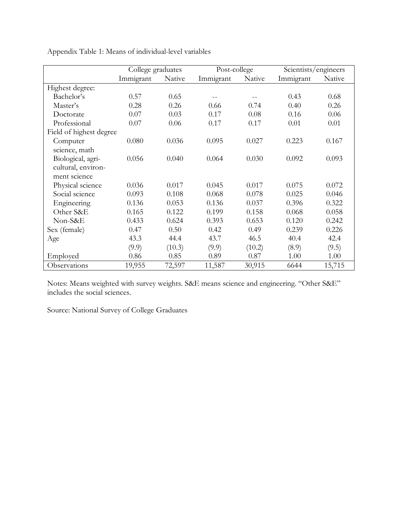|                         | College graduates |        | Post-college |        |           | Scientists/engineers |  |
|-------------------------|-------------------|--------|--------------|--------|-----------|----------------------|--|
|                         | Immigrant         | Native | Immigrant    | Native | Immigrant | Native               |  |
| Highest degree:         |                   |        |              |        |           |                      |  |
| Bachelor's              | 0.57              | 0.65   |              |        | 0.43      | 0.68                 |  |
| Master's                | 0.28              | 0.26   | 0.66         | 0.74   | 0.40      | 0.26                 |  |
| Doctorate               | 0.07              | 0.03   | 0.17         | 0.08   | 0.16      | 0.06                 |  |
| Professional            | 0.07              | 0.06   | 0.17         | 0.17   | 0.01      | 0.01                 |  |
| Field of highest degree |                   |        |              |        |           |                      |  |
| Computer                | 0.080             | 0.036  | 0.095        | 0.027  | 0.223     | 0.167                |  |
| science, math           |                   |        |              |        |           |                      |  |
| Biological, agri-       | 0.056             | 0.040  | 0.064        | 0.030  | 0.092     | 0.093                |  |
| cultural, environ-      |                   |        |              |        |           |                      |  |
| ment science            |                   |        |              |        |           |                      |  |
| Physical science        | 0.036             | 0.017  | 0.045        | 0.017  | 0.075     | 0.072                |  |
| Social science          | 0.093             | 0.108  | 0.068        | 0.078  | 0.025     | 0.046                |  |
| Engineering             | 0.136             | 0.053  | 0.136        | 0.037  | 0.396     | 0.322                |  |
| Other S&E               | 0.165             | 0.122  | 0.199        | 0.158  | 0.068     | 0.058                |  |
| Non-S&E                 | 0.433             | 0.624  | 0.393        | 0.653  | 0.120     | 0.242                |  |
| Sex (female)            | 0.47              | 0.50   | 0.42         | 0.49   | 0.239     | 0.226                |  |
| Age                     | 43.3              | 44.4   | 43.7         | 46.5   | 40.4      | 42.4                 |  |
|                         | (9.9)             | (10.3) | (9.9)        | (10.2) | (8.9)     | (9.5)                |  |
| Employed                | 0.86              | 0.85   | 0.89         | 0.87   | 1.00      | 1.00                 |  |
| Observations            | 19,955            | 72,597 | 11,587       | 30,915 | 6644      | 15,715               |  |

Appendix Table 1: Means of individual-level variables

Notes: Means weighted with survey weights. S&E means science and engineering. "Other S&E" includes the social sciences.

Source: National Survey of College Graduates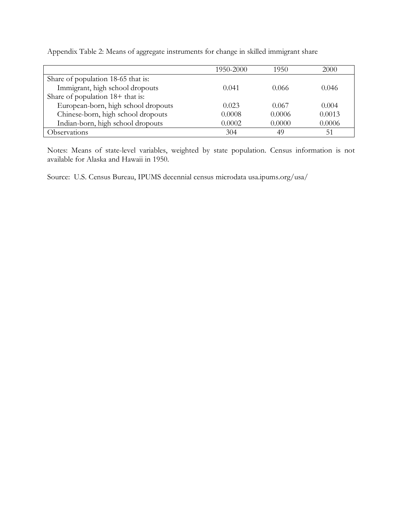|                                     | 1950-2000 | 1950   | 2000   |
|-------------------------------------|-----------|--------|--------|
| Share of population 18-65 that is:  |           |        |        |
| Immigrant, high school dropouts     | 0.041     | 0.066  | 0.046  |
| Share of population $18+$ that is:  |           |        |        |
| European-born, high school dropouts | 0.023     | 0.067  | 0.004  |
| Chinese-born, high school dropouts  | 0.0008    | 0.0006 | 0.0013 |
| Indian-born, high school dropouts   | 0.0002    | 0.0000 | 0.0006 |
| Observations                        | 304       | 49     | 51     |

Appendix Table 2: Means of aggregate instruments for change in skilled immigrant share

Notes: Means of state-level variables, weighted by state population. Census information is not available for Alaska and Hawaii in 1950.

Source: U.S. Census Bureau, IPUMS decennial census microdata usa.ipums.org/usa/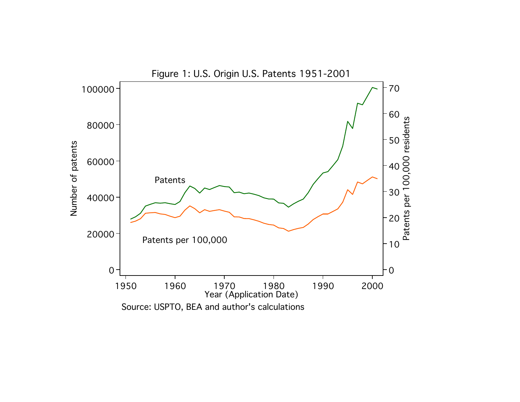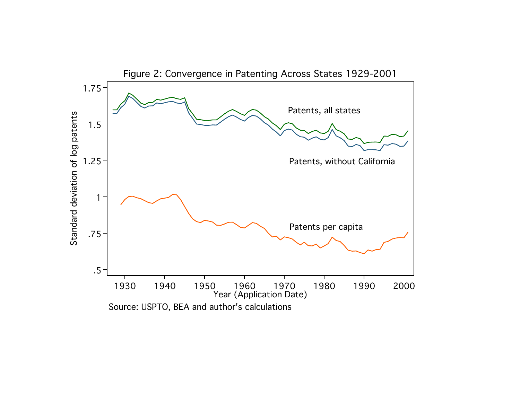